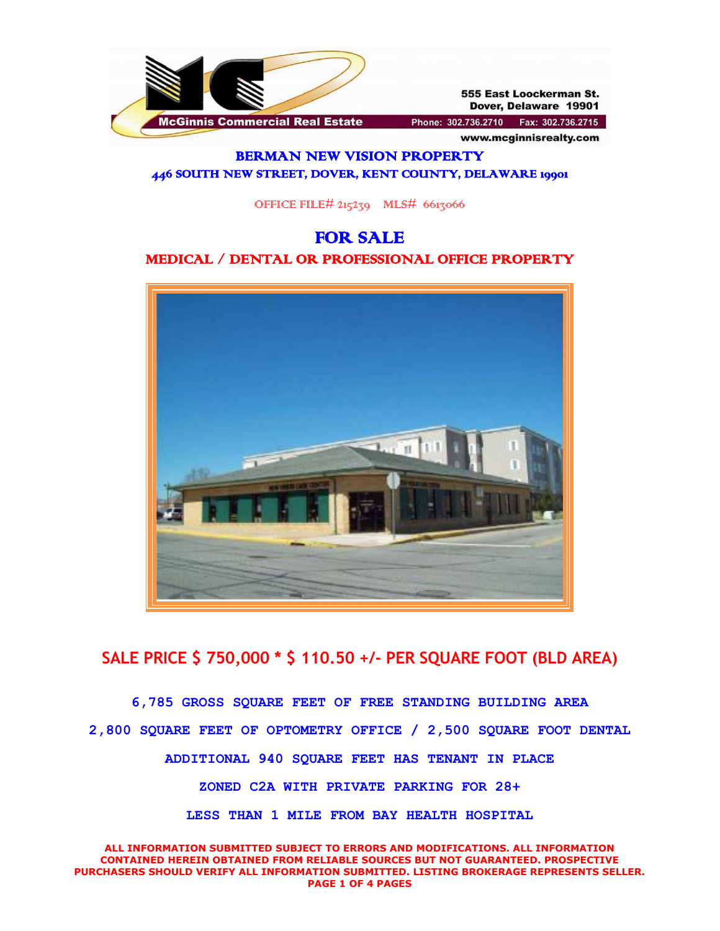

555 East Loockerman St. Dover, Delaware 19901

www.mcginnisrealty.com

Phone: 302.736.2710 Fax: 302.736.2715

#### BERMAN NEW VISION PROPERTY 446 SOUTH NEW STREET, DOVER, KENT COUNTY, DELAWARE 19901

OFFICE FILE#  $215239$  MLS# 6613066

# FOR SALE MEDICAL / DENTAL OR PROFESSIONAL OFFICE PROPERTY



## **SALE PRICE \$ 750,000 \* \$ 110.50 +/- PER SQUARE FOOT (BLD AREA)**

**6,785 GROSS SQUARE FEET OF FREE STANDING BUILDING AREA 2,800 SQUARE FEET OF OPTOMETRY OFFICE / 2,500 SQUARE FOOT DENTAL ADDITIONAL 940 SQUARE FEET HAS TENANT IN PLACE ZONED C2A WITH PRIVATE PARKING FOR 28+ LESS THAN 1 MILE FROM BAY HEALTH HOSPITAL**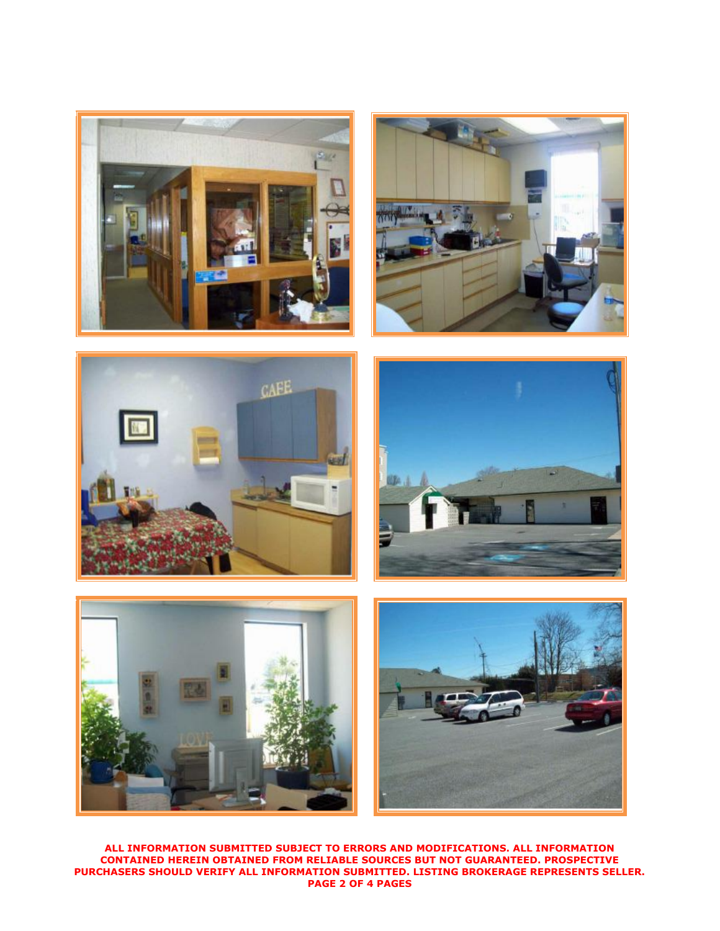











**ALL INFORMATION SUBMITTED SUBJECT TO ERRORS AND MODIFICATIONS. ALL INFORMATION CONTAINED HEREIN OBTAINED FROM RELIABLE SOURCES BUT NOT GUARANTEED. PROSPECTIVE PURCHASERS SHOULD VERIFY ALL INFORMATION SUBMITTED. LISTING BROKERAGE REPRESENTS SELLER. PAGE 2 OF 4 PAGES**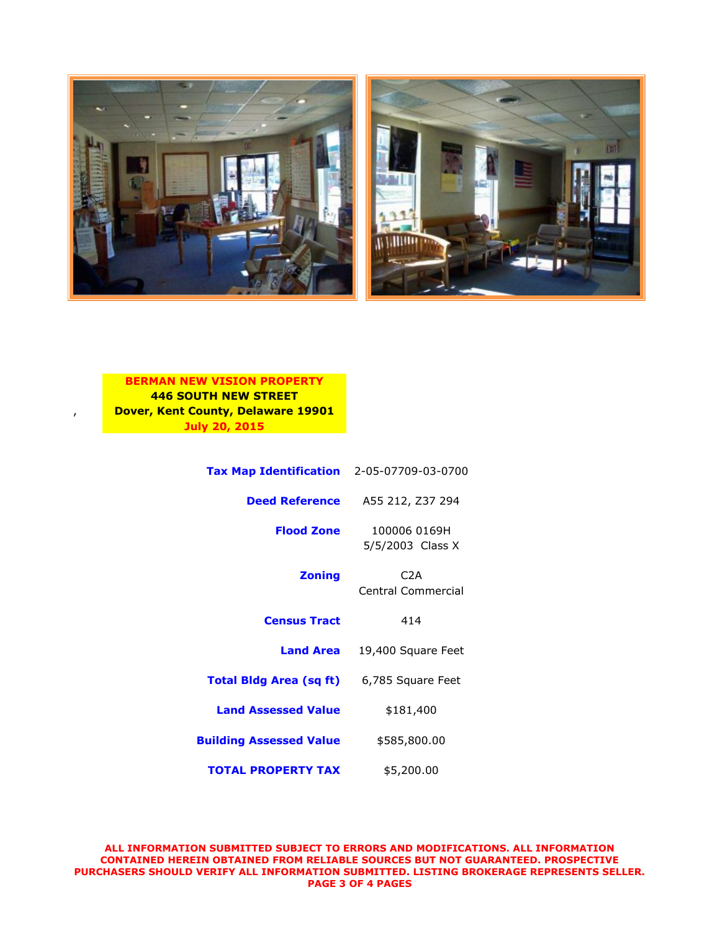



#### **BERMAN NEW VISION PROPERTY 446 SOUTH NEW STREET** , **Dover, Kent County, Delaware 19901 July 20, 2015**

| Tax Map Identification 2-05-07709-03-0700        |                                  |
|--------------------------------------------------|----------------------------------|
| <b>Deed Reference</b>                            | A55 212, Z37 294                 |
| <b>Flood Zone</b>                                | 100006 0169H<br>5/5/2003 Class X |
| <b>Zoning</b>                                    | C2A<br>Central Commercial        |
| <b>Census Tract</b>                              | 414                              |
| <b>Land Area</b>                                 | 19,400 Square Feet               |
| <b>Total Bidg Area (sq ft)</b> 6,785 Square Feet |                                  |
| <b>Land Assessed Value</b>                       | \$181,400                        |
| <b>Building Assessed Value</b>                   | \$585,800.00                     |
| <b>TOTAL PROPERTY TAX</b>                        | \$5,200.00                       |